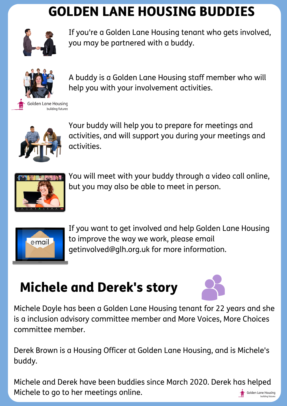## GOLDEN LANE HOUSING BUDDIES



If you're a Golden Lane Housing tenant who gets involved, you may be partnered with a buddy.



A buddy is a Golden Lane Housing staff member who will help you with your involvement activities.



Your buddy will help you to prepare for meetings and activities, and will support you during your meetings and activities.



You will meet with your buddy through a video call online, but you may also be able to meet in person.



If you want to get involved and help Golden Lane Housing to improve the way we work, please email getinvolved@glh.org.uk for more information.

## Michele and Derek's story



Michele Doyle has been a Golden Lane Housing tenant for 22 years and she is a inclusion advisory committee member and More Voices, More Choices committee member.

Derek Brown is a Housing Officer at Golden Lane Housing, and is Michele's buddy.

Michele and Derek have been buddies since March 2020. Derek has helped Michele to go to her meetings online.Golden Lane Housing building futur